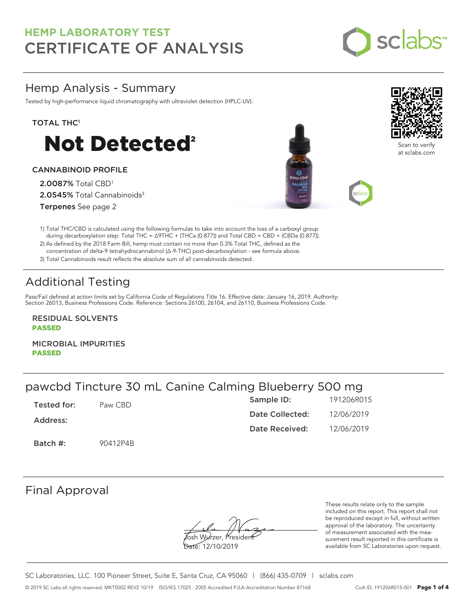

# Hemp Analysis - Summary

Tested by high-performance liquid chromatography with ultraviolet detection (HPLC-UV).

### TOTAL THC<sup>1</sup>



### CANNABINOID PROFILE

2.0087% Total CBD<sup>1</sup> 2.0545% Total Cannabinoids<sup>3</sup> Terpenes See page 2





Scan to verify at sclabs.com

1) Total THC/CBD is calculated using the following formulas to take into account the loss of a carboxyl group during decarboxylation step: Total THC = ∆9THC + (THCa (0.877)) and Total CBD = CBD + (CBDa (0.877)).

2) As defined by the 2018 Farm Bill, hemp must contain no more than 0.3% Total THC, defined as the concentration of delta-9 tetrahydrocannabinol (Δ-9-THC) post-decarboxylation - see formula above.

3) Total Cannabinoids result reflects the absolute sum of all cannabinoids detected.

# Additional Testing

Pass/Fail defined at action limits set by California Code of Regulations Title 16. Effective date: January 16, 2019. Authority: Section 26013, Business Professions Code. Reference: Sections 26100, 26104, and 26110, Business Professions Code.

RESIDUAL SOLVENTS PASSED

MICROBIAL IMPURITIES PASSED

# pawcbd Tincture 30 mL Canine Calming Blueberry 500 mg

| Tested for: | Paw CBD  | Sample ID:      | 191206R015 |
|-------------|----------|-----------------|------------|
| Address:    |          | Date Collected: | 12/06/2019 |
|             |          | Date Received:  | 12/06/2019 |
| Batch #:    | 90412P4B |                 |            |

## Final Approval

**J**osh Wurzer, Presiden<del>t</del>

Date: 12/10/2019

These results relate only to the sample included on this report. This report shall not be reproduced except in full, without written approval of the laboratory. The uncertainty of measurement associated with the measurement result reported in this certificate is available from SC Laboratories upon request.

SC Laboratories, LLC. 100 Pioneer Street, Suite E, Santa Cruz, CA 95060 | (866) 435-0709 | sclabs.com © 2019 SC Labs all rights reserved. MKT0002 REV2 10/19 ISO/IES 17025 : 2005 Accredited PJLA Accreditation Number 87168 CoA ID: 191206R015-001 **Page 1 of 4**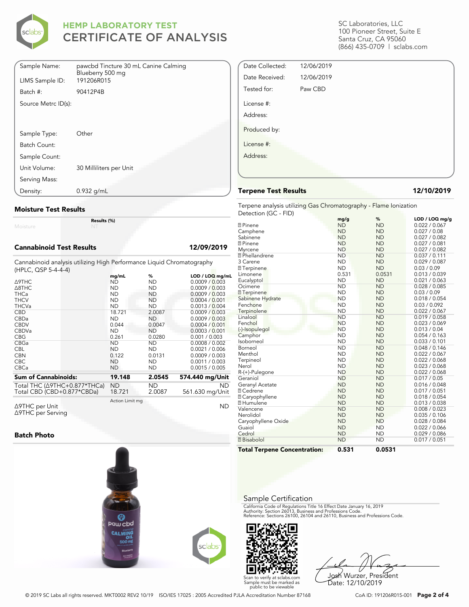

| Sample Name:        | pawcbd Tincture 30 mL Canine Calming |
|---------------------|--------------------------------------|
|                     | Blueberry 500 mg                     |
| LIMS Sample ID:     | 191206R015                           |
| Batch #:            | 90412P4B                             |
| Source Metrc ID(s): |                                      |
|                     |                                      |
|                     |                                      |
| Sample Type:        | Other                                |
| Batch Count:        |                                      |
| Sample Count:       |                                      |
| Unit Volume:        | 30 Milliliters per Unit              |
| Serving Mass:       |                                      |
| Density:            | $0.932$ g/mL                         |

### **Moisture Test Results**

Moisture

### **Cannabinoid Test Results 12/09/2019**

Cannabinoid analysis utilizing High Performance Liquid Chromatography (HPLC, QSP 5-4-4-4)

**Results (%)**

| $(111 - 20)$ , where $-17$                                 | mg/mL               | %             | LOD / LOQ mg/mL              |
|------------------------------------------------------------|---------------------|---------------|------------------------------|
| <b>A9THC</b>                                               | <b>ND</b>           | ND            | 0.0009 / 0.003               |
| $\triangle$ 8THC                                           | <b>ND</b>           | <b>ND</b>     | 0.0009 / 0.003               |
| <b>THCa</b>                                                | <b>ND</b>           | <b>ND</b>     | 0.0009 / 0.003               |
| <b>THCV</b>                                                | <b>ND</b>           | <b>ND</b>     | 0.0004 / 0.001               |
| <b>THCVa</b>                                               | <b>ND</b>           | <b>ND</b>     | 0.0013 / 0.004               |
| <b>CBD</b>                                                 | 18.721              | 2.0087        | 0.0009 / 0.003               |
| CBDa                                                       | <b>ND</b>           | <b>ND</b>     | 0.0009 / 0.003               |
| <b>CBDV</b>                                                | 0.044               | 0.0047        | 0.0004 / 0.001               |
| <b>CBDVa</b>                                               | <b>ND</b>           | <b>ND</b>     | 0.0003 / 0.001               |
| <b>CBG</b>                                                 | 0.261               | 0.0280        | 0.001 / 0.003                |
| CBGa                                                       | <b>ND</b>           | <b>ND</b>     | 0.0008 / 0.002               |
| <b>CBL</b>                                                 | <b>ND</b>           | <b>ND</b>     | 0.0021 / 0.006               |
| <b>CBN</b>                                                 | 0.122               | 0.0131        | 0.0009 / 0.003               |
| <b>CBC</b>                                                 | <b>ND</b>           | <b>ND</b>     | 0.0011 / 0.003               |
| <b>CBCa</b>                                                | <b>ND</b>           | <b>ND</b>     | 0.0015 / 0.005               |
| <b>Sum of Cannabinoids:</b>                                | 19.148              | 2.0545        | 574.440 mg/Unit              |
| Total THC (Δ9THC+0.877*THCa)<br>Total CBD (CBD+0.877*CBDa) | <b>ND</b><br>18.721 | ND.<br>2.0087 | <b>ND</b><br>561.630 mg/Unit |
| $\triangle$ 9THC per Unit                                  | Action Limit mg     |               | <b>ND</b>                    |

Δ9THC per Unit Δ9THC per Serving

### **Batch Photo**



SC Laboratories, LLC 100 Pioneer Street, Suite E Santa Cruz, CA 95060 (866) 435-0709 | sclabs.com

| Date Collected: | 12/06/2019 |  |
|-----------------|------------|--|
| Date Received:  | 12/06/2019 |  |
| Tested for:     | Paw CBD    |  |
| License #:      |            |  |
| Address:        |            |  |
| Produced by:    |            |  |
| License #:      |            |  |
| Address:        |            |  |
|                 |            |  |
|                 |            |  |

### **Terpene Test Results 12/10/2019**

Terpene analysis utilizing Gas Chromatography - Flame Ionization Detection (GC - FID)

|                                     | mg/g      | %         | LOD / LOQ mg/g |
|-------------------------------------|-----------|-----------|----------------|
| <b>2</b> Pinene                     | <b>ND</b> | <b>ND</b> | 0.022 / 0.067  |
| Camphene                            | <b>ND</b> | <b>ND</b> | 0.027 / 0.08   |
| Sabinene                            | <b>ND</b> | <b>ND</b> | 0.027 / 0.082  |
| <b>2</b> Pinene                     | <b>ND</b> | <b>ND</b> | 0.027 / 0.081  |
| Myrcene                             | <b>ND</b> | <b>ND</b> | 0.027 / 0.082  |
| <b>7</b> Phellandrene               | <b>ND</b> | <b>ND</b> | 0.037 / 0.111  |
| 3 Carene                            | <b>ND</b> | <b>ND</b> | 0.029 / 0.087  |
| <b>7</b> Terpinene                  | <b>ND</b> | <b>ND</b> | 0.03 / 0.09    |
| Limonene                            | 0.531     | 0.0531    | 0.013 / 0.039  |
| Eucalyptol                          | <b>ND</b> | <b>ND</b> | 0.021 / 0.063  |
| Ocimene                             | <b>ND</b> | <b>ND</b> | 0.028 / 0.085  |
| <b>7</b> Terpinene                  | <b>ND</b> | <b>ND</b> | 0.03 / 0.09    |
| Sabinene Hydrate                    | <b>ND</b> | <b>ND</b> | 0.018 / 0.054  |
| Fenchone                            | <b>ND</b> | <b>ND</b> | 0.03 / 0.092   |
| Terpinolene                         | <b>ND</b> | <b>ND</b> | 0.022 / 0.067  |
| Linalool                            | <b>ND</b> | <b>ND</b> | 0.019 / 0.058  |
| Fenchol                             | <b>ND</b> | <b>ND</b> | 0.023 / 0.069  |
| (-)-Isopulegol                      | <b>ND</b> | <b>ND</b> | 0.013 / 0.04   |
| Camphor                             | <b>ND</b> | <b>ND</b> | 0.054 / 0.163  |
| Isoborneol                          | <b>ND</b> | <b>ND</b> | 0.033 / 0.101  |
| Borneol                             | <b>ND</b> | <b>ND</b> | 0.048 / 0.146  |
| Menthol                             | <b>ND</b> | <b>ND</b> | 0.022 / 0.067  |
| Terpineol                           | <b>ND</b> | <b>ND</b> | 0.022 / 0.068  |
| Nerol                               | <b>ND</b> | <b>ND</b> | 0.023 / 0.068  |
| R-(+)-Pulegone                      | <b>ND</b> | <b>ND</b> | 0.022 / 0.068  |
| Geraniol                            | <b>ND</b> | <b>ND</b> | 0.017 / 0.05   |
| Geranyl Acetate                     | <b>ND</b> | <b>ND</b> | 0.016 / 0.048  |
| <b>7 Cedrene</b>                    | <b>ND</b> | <b>ND</b> | 0.017 / 0.051  |
| <b>2 Caryophyllene</b>              | <b>ND</b> | <b>ND</b> | 0.018 / 0.054  |
| <b>7 Humulene</b>                   | <b>ND</b> | <b>ND</b> | 0.013 / 0.038  |
| Valencene                           | <b>ND</b> | <b>ND</b> | 0.008 / 0.023  |
| Nerolidol                           | <b>ND</b> | <b>ND</b> | 0.035 / 0.106  |
| Caryophyllene Oxide                 | <b>ND</b> | <b>ND</b> | 0.028 / 0.084  |
| Guaiol                              | <b>ND</b> | <b>ND</b> | 0.022 / 0.066  |
| Cedrol                              | <b>ND</b> | <b>ND</b> | 0.029 / 0.086  |
| <b>7</b> Bisabolol                  | <b>ND</b> | <b>ND</b> | 0.017 / 0.051  |
| <b>Total Terpene Concentration:</b> | 0.531     | 0.0531    |                |

### Sample Certification

California Code of Regulations Title 16 Effect Date January 16, 2019<br>Authority: Section 26013, Business and Professions Code.<br>Reference: Sections 26100, 26104 and 26110, Business and Professions Code.



Josh Wurzer, President Date: 12/10/2019

© 2019 SC Labs all rights reserved. MKT0002 REV2 10/19 ISO/IES 17025 : 2005 Accredited PJLA Accreditation Number 87168 CoA ID: 191206R015-001 **Page 2 of 4**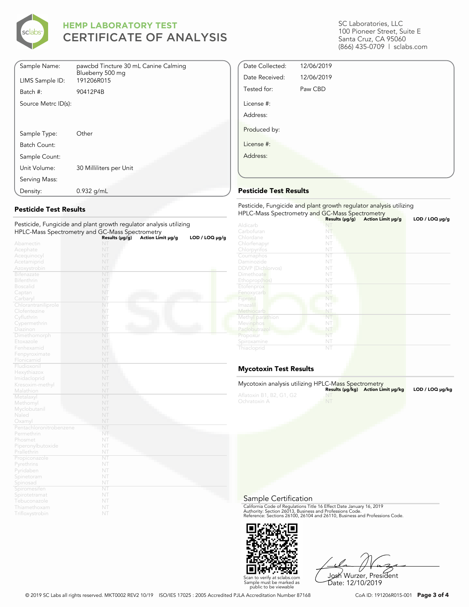

| Sample Name:        | pawcbd Tincture 30 mL Canine Calming<br>Blueberry 500 mg |
|---------------------|----------------------------------------------------------|
| LIMS Sample ID:     | 191206R015                                               |
| Batch #:            | 90412P4B                                                 |
| Source Metrc ID(s): |                                                          |
|                     |                                                          |
|                     |                                                          |
| Sample Type:        | Other                                                    |
| Batch Count:        |                                                          |
| Sample Count:       |                                                          |
| Unit Volume:        | 30 Milliliters per Unit                                  |
| Serving Mass:       |                                                          |
| Density:            | $0.932$ g/mL                                             |

### **Pesticide Test Results**

|                              | Pesticide, Fungicide and plant growth regulator analysis utilizing |                   |                     |
|------------------------------|--------------------------------------------------------------------|-------------------|---------------------|
|                              | HPLC-Mass Spectrometry and GC-Mass Spectrometry                    |                   |                     |
|                              | Results (µg/g)                                                     | Action Limit µg/g | $LOD / LOQ \mu g/g$ |
| Abamectin                    | NT                                                                 |                   |                     |
| Acephate                     | NT                                                                 |                   |                     |
| Acequinocyl                  | NT                                                                 |                   |                     |
| Acetamiprid                  | NT                                                                 |                   |                     |
| Azoxystrobin                 | NT                                                                 |                   |                     |
| Bifenazate                   | NT                                                                 |                   |                     |
| <b>Bifenthrin</b>            | NT                                                                 |                   |                     |
| <b>Boscalid</b>              | NT                                                                 |                   |                     |
| Captan                       | NT                                                                 |                   |                     |
| Carbaryl                     | NT                                                                 |                   |                     |
| Chlorantraniliprole          | NT                                                                 |                   |                     |
| Clofentezine                 | NT                                                                 |                   |                     |
| Cyfluthrin                   | NT                                                                 |                   |                     |
| Cypermethrin                 | NT                                                                 |                   |                     |
| Diazinon                     | NT                                                                 |                   |                     |
| Dimethomorph                 | NT                                                                 |                   |                     |
| Etoxazole                    | NT                                                                 |                   |                     |
| Fenhexamid                   | NT                                                                 |                   |                     |
| Fenpyroximate                | NT<br>NT                                                           |                   |                     |
| Flonicamid                   | NT                                                                 |                   |                     |
| Fludioxonil                  | NT                                                                 |                   |                     |
| Hexythiazox<br>Imidacloprid  | NT                                                                 |                   |                     |
|                              | NT                                                                 |                   |                     |
| Kresoxim-methyl<br>Malathion | NT                                                                 |                   |                     |
| Metalaxyl                    | NT                                                                 |                   |                     |
| Methomyl                     | NT                                                                 |                   |                     |
| Myclobutanil                 | NT                                                                 |                   |                     |
| Naled                        | NT                                                                 |                   |                     |
| Oxamyl                       | NT                                                                 |                   |                     |
| Pentachloronitrobenzene      | NT                                                                 |                   |                     |
| Permethrin                   | NT                                                                 |                   |                     |
| Phosmet                      | NT                                                                 |                   |                     |
| Piperonylbutoxide            | NT                                                                 |                   |                     |
| Prallethrin                  | NT                                                                 |                   |                     |
| Propiconazole                | NT                                                                 |                   |                     |
| Pyrethrins                   | NT                                                                 |                   |                     |
| Pyridaben                    | NT                                                                 |                   |                     |
| Spinetoram                   | NT                                                                 |                   |                     |
| Spinosad                     | NT                                                                 |                   |                     |
| Spiromesifen                 | NT                                                                 |                   |                     |
| Spirotetramat                | NT                                                                 |                   |                     |
| Tebuconazole                 | NT                                                                 |                   |                     |
| Thiamethoxam                 | NT                                                                 |                   |                     |
| Trifloxystrobin              | NT                                                                 |                   |                     |

SC Laboratories, LLC 100 Pioneer Street, Suite E Santa Cruz, CA 95060 (866) 435-0709 | sclabs.com

| Date Collected: | 12/06/2019 |  |
|-----------------|------------|--|
| Date Received:  | 12/06/2019 |  |
| Tested for:     | Paw CBD    |  |
| License #:      |            |  |
| Address:        |            |  |
| Produced by:    |            |  |
| License #:      |            |  |
| Address:        |            |  |
|                 |            |  |

### **Pesticide Test Results**

| Pesticide, Fungicide and plant growth regulator analysis utilizing<br>HPLC-Mass Spectrometry and GC-Mass Spectrometry |                     |                   |                |  |
|-----------------------------------------------------------------------------------------------------------------------|---------------------|-------------------|----------------|--|
|                                                                                                                       | Results $(\mu g/g)$ | Action Limit µg/g | LOD / LOQ µg/g |  |
| Aldicarb                                                                                                              |                     |                   |                |  |
| Carbofuran                                                                                                            | NT                  |                   |                |  |
| Chlordane                                                                                                             | NT                  |                   |                |  |
| Chlorfenapyr                                                                                                          | NT                  |                   |                |  |
| Chlorpyrifos                                                                                                          | NT                  |                   |                |  |
| Coumaphos                                                                                                             | NT                  |                   |                |  |
| Daminozide                                                                                                            | NT                  |                   |                |  |
| <b>DDVP</b> (Dichlorvos)                                                                                              | NT                  |                   |                |  |
| Dimethoate                                                                                                            | NT                  |                   |                |  |
| Ethoprop(hos)                                                                                                         | NT                  |                   |                |  |
| Etofenprox                                                                                                            | NT                  |                   |                |  |
| Fenoxycarb                                                                                                            | NT                  |                   |                |  |
| Fipronil                                                                                                              | NT                  |                   |                |  |
| Imazalil                                                                                                              | NT                  |                   |                |  |
| Methiocarb                                                                                                            | NT                  |                   |                |  |
| Methyl parathion                                                                                                      | NT                  |                   |                |  |
| Mevinphos                                                                                                             | NT                  |                   |                |  |
| Paclobutrazol                                                                                                         | NT                  |                   |                |  |
| Propoxur                                                                                                              | NT                  |                   |                |  |
| Spiroxamine                                                                                                           | NT                  |                   |                |  |
| Thiacloprid                                                                                                           | NT                  |                   |                |  |

### **Mycotoxin Test Results**

| Mycotoxin analysis utilizing HPLC-Mass Spectrometry |           | Results (µq/kq) Action Limit µq/kq | LOD / LOQ ua/ka |
|-----------------------------------------------------|-----------|------------------------------------|-----------------|
| Aflatoxin B1, B2, G1, G2<br>Ochratoxin A            | <b>NT</b> |                                    |                 |
|                                                     |           |                                    |                 |

Sample Certification

California Code of Regulations Title 16 Effect Date January 16, 2019<br>Authority: Section 26013, Business and Professions Code.<br>Reference: Sections 26100, 26104 and 26110, Business and Professions Code.



Josh Wurzer, President Date: 12/10/2019

© 2019 SC Labs all rights reserved. MKT0002 REV2 10/19 ISO/IES 17025 : 2005 Accredited PJLA Accreditation Number 87168 CoA ID: 191206R015-001 **Page 3 of 4**